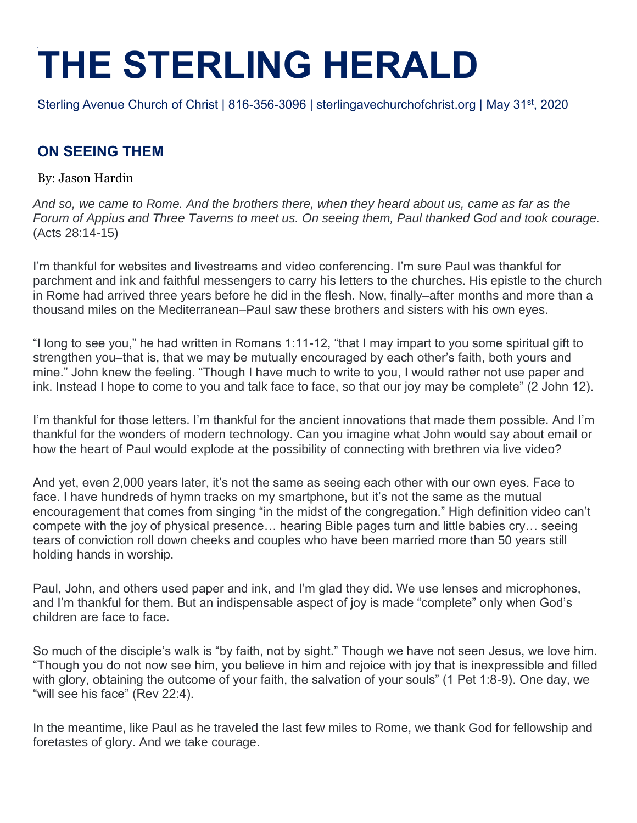## **THE STERLING HERALD**

Sterling Avenue Church of Christ | 816-356-3096 | sterlingavechurchofchrist.org | May 31<sup>st</sup>, 2020

## **ON SEEING THEM**

By: Jason Hardin

*And so, we came to Rome. And the brothers there, when they heard about us, came as far as the Forum of Appius and Three Taverns to meet us. On seeing them, Paul thanked God and took courage.* (Acts 28:14-15)

I'm thankful for websites and livestreams and video conferencing. I'm sure Paul was thankful for parchment and ink and faithful messengers to carry his letters to the churches. His epistle to the church in Rome had arrived three years before he did in the flesh. Now, finally–after months and more than a thousand miles on the Mediterranean–Paul saw these brothers and sisters with his own eyes.

"I long to see you," he had written in Romans 1:11-12, "that I may impart to you some spiritual gift to strengthen you–that is, that we may be mutually encouraged by each other's faith, both yours and mine." John knew the feeling. "Though I have much to write to you, I would rather not use paper and ink. Instead I hope to come to you and talk face to face, so that our joy may be complete" (2 John 12).

I'm thankful for those letters. I'm thankful for the ancient innovations that made them possible. And I'm thankful for the wonders of modern technology. Can you imagine what John would say about email or how the heart of Paul would explode at the possibility of connecting with brethren via live video?

And yet, even 2,000 years later, it's not the same as seeing each other with our own eyes. Face to face. I have hundreds of hymn tracks on my smartphone, but it's not the same as the mutual encouragement that comes from singing "in the midst of the congregation." High definition video can't compete with the joy of physical presence… hearing Bible pages turn and little babies cry… seeing tears of conviction roll down cheeks and couples who have been married more than 50 years still holding hands in worship.

Paul, John, and others used paper and ink, and I'm glad they did. We use lenses and microphones, and I'm thankful for them. But an indispensable aspect of joy is made "complete" only when God's children are face to face.

So much of the disciple's walk is "by faith, not by sight." Though we have not seen Jesus, we love him. "Though you do not now see him, you believe in him and rejoice with joy that is inexpressible and filled with glory, obtaining the outcome of your faith, the salvation of your souls" (1 Pet 1:8-9). One day, we "will see his face" (Rev 22:4).

In the meantime, like Paul as he traveled the last few miles to Rome, we thank God for fellowship and foretastes of glory. And we take courage.